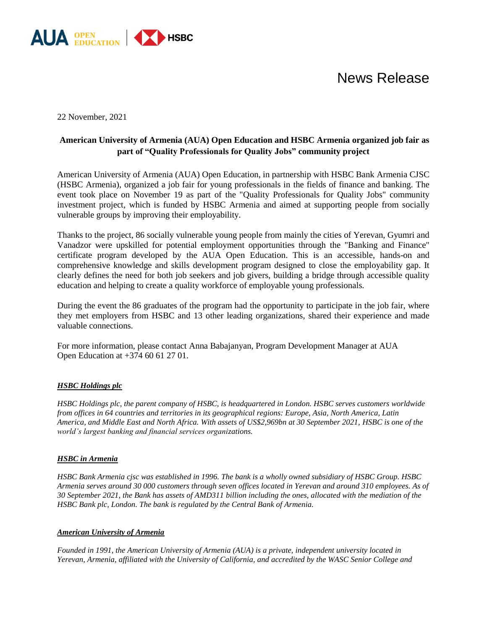

## News Release

22 November, 2021

### **American University of Armenia (AUA) Open Education and HSBC Armenia organized job fair as part of "Quality Professionals for Quality Jobs" community project**

American University of Armenia (AUA) Open Education, in partnership with HSBC Bank Armenia CJSC (HSBC Armenia), organized a job fair for young professionals in the fields of finance and banking. The event took place on November 19 as part of the "Quality Professionals for Quality Jobs" community investment project, which is funded by HSBC Armenia and aimed at supporting people from socially vulnerable groups by improving their employability.

Thanks to the project, 86 socially vulnerable young people from mainly the cities of Yerevan, Gyumri and Vanadzor were upskilled for potential employment opportunities through the "Banking and Finance" certificate program developed by the AUA Open Education. This is an accessible, hands-on and comprehensive knowledge and skills development program designed to close the employability gap. It clearly defines the need for both job seekers and job givers, building a bridge through accessible quality education and helping to create a quality workforce of employable young professionals.

During the event the 86 graduates of the program had the opportunity to participate in the job fair, where they met employers from HSBC and 13 other leading organizations, shared their experience and made valuable connections.

For more information, please contact Anna Babajanyan, Program Development Manager at AUA Open Education at +374 60 61 27 01.

#### *HSBC Holdings plc*

*HSBC Holdings plc, the parent company of HSBC, is headquartered in London. HSBC serves customers worldwide from offices in 64 countries and territories in its geographical regions: Europe, Asia, North America, Latin America, and Middle East and North Africa. With assets of US\$2,969bn at 30 September 2021, HSBC is one of the world's largest banking and financial services organizations.*

#### *HSBC in Armenia*

*HSBC Bank Armenia cjsc was established in 1996. The bank is a wholly owned subsidiary of HSBC Group. HSBC Armenia serves around 30 000 customers through seven offices located in Yerevan and around 310 employees. As of 30 September 2021, the Bank has assets of AMD311 billion including the ones, allocated with the mediation of the HSBC Bank plc, London. The bank is regulated by the Central Bank of Armenia.*

#### *American University of Armenia*

*Founded in 1991, the American University of Armenia (AUA) is a private, independent university located in Yerevan, Armenia, affiliated with the University of California, and accredited by the WASC Senior College and*